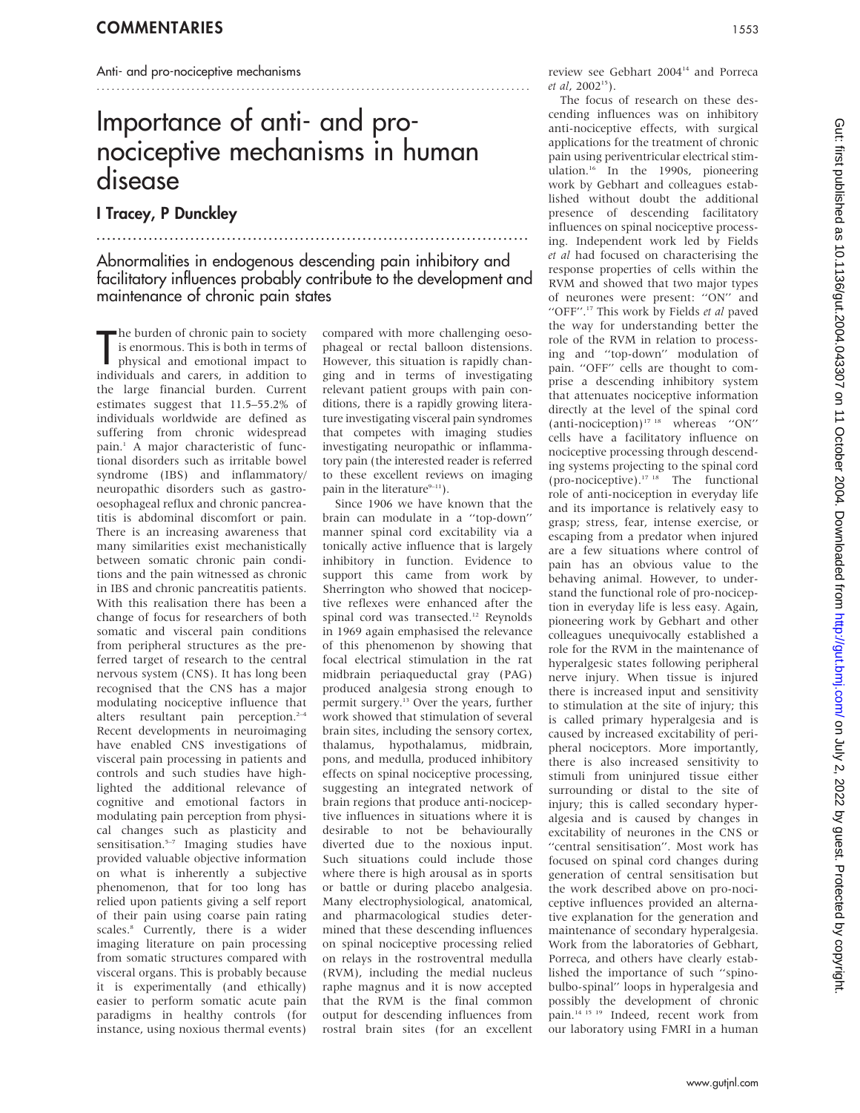#### Anti- and pro-nociceptive mechanisms

## Importance of anti- and pronociceptive mechanisms in human disease

I Tracey, P Dunckley

...................................................................................

## Abnormalities in endogenous descending pain inhibitory and facilitatory influences probably contribute to the development and maintenance of chronic pain states

The burden of chronic pain to society<br>is enormous. This is both in terms of<br>physical and emotional impact to<br>individuals and carers, in addition to he burden of chronic pain to society is enormous. This is both in terms of physical and emotional impact to the large financial burden. Current estimates suggest that 11.5–55.2% of individuals worldwide are defined as suffering from chronic widespread pain.<sup>1</sup> A major characteristic of functional disorders such as irritable bowel syndrome (IBS) and inflammatory/ neuropathic disorders such as gastrooesophageal reflux and chronic pancreatitis is abdominal discomfort or pain. There is an increasing awareness that many similarities exist mechanistically between somatic chronic pain conditions and the pain witnessed as chronic in IBS and chronic pancreatitis patients. With this realisation there has been a change of focus for researchers of both somatic and visceral pain conditions from peripheral structures as the preferred target of research to the central nervous system (CNS). It has long been recognised that the CNS has a major modulating nociceptive influence that alters resultant pain perception. $2-4$ Recent developments in neuroimaging have enabled CNS investigations of visceral pain processing in patients and controls and such studies have highlighted the additional relevance of cognitive and emotional factors in modulating pain perception from physical changes such as plasticity and sensitisation.<sup>5-7</sup> Imaging studies have provided valuable objective information on what is inherently a subjective phenomenon, that for too long has relied upon patients giving a self report of their pain using coarse pain rating scales.<sup>8</sup> Currently, there is a wider imaging literature on pain processing from somatic structures compared with visceral organs. This is probably because it is experimentally (and ethically) easier to perform somatic acute pain paradigms in healthy controls (for instance, using noxious thermal events)

compared with more challenging oesophageal or rectal balloon distensions. However, this situation is rapidly changing and in terms of investigating relevant patient groups with pain conditions, there is a rapidly growing literature investigating visceral pain syndromes that competes with imaging studies investigating neuropathic or inflammatory pain (the interested reader is referred to these excellent reviews on imaging pain in the literature $9-11$ ).

.......................................................................................

Since 1906 we have known that the brain can modulate in a ''top-down'' manner spinal cord excitability via a tonically active influence that is largely inhibitory in function. Evidence to support this came from work by Sherrington who showed that nociceptive reflexes were enhanced after the spinal cord was transected.<sup>12</sup> Reynolds in 1969 again emphasised the relevance of this phenomenon by showing that focal electrical stimulation in the rat midbrain periaqueductal gray (PAG) produced analgesia strong enough to permit surgery.13 Over the years, further work showed that stimulation of several brain sites, including the sensory cortex, thalamus, hypothalamus, midbrain, pons, and medulla, produced inhibitory effects on spinal nociceptive processing, suggesting an integrated network of brain regions that produce anti-nociceptive influences in situations where it is desirable to not be behaviourally diverted due to the noxious input. Such situations could include those where there is high arousal as in sports or battle or during placebo analgesia. Many electrophysiological, anatomical, and pharmacological studies determined that these descending influences on spinal nociceptive processing relied on relays in the rostroventral medulla (RVM), including the medial nucleus raphe magnus and it is now accepted that the RVM is the final common output for descending influences from rostral brain sites (for an excellent

review see Gebhart 2004<sup>14</sup> and Porreca et al, 200215).

The focus of research on these descending influences was on inhibitory anti-nociceptive effects, with surgical applications for the treatment of chronic pain using periventricular electrical stimulation.<sup>16</sup> In the 1990s, pioneering work by Gebhart and colleagues established without doubt the additional presence of descending facilitatory influences on spinal nociceptive processing. Independent work led by Fields et al had focused on characterising the response properties of cells within the RVM and showed that two major types of neurones were present: ''ON'' and "OFF".<sup>17</sup> This work by Fields et al paved the way for understanding better the role of the RVM in relation to processing and ''top-down'' modulation of pain. ''OFF'' cells are thought to comprise a descending inhibitory system that attenuates nociceptive information directly at the level of the spinal cord (anti-nociception)17 18 whereas ''ON'' cells have a facilitatory influence on nociceptive processing through descending systems projecting to the spinal cord (pro-nociceptive).<sup>17</sup> <sup>18</sup> The functional role of anti-nociception in everyday life and its importance is relatively easy to grasp; stress, fear, intense exercise, or escaping from a predator when injured are a few situations where control of pain has an obvious value to the behaving animal. However, to understand the functional role of pro-nociception in everyday life is less easy. Again, pioneering work by Gebhart and other colleagues unequivocally established a role for the RVM in the maintenance of hyperalgesic states following peripheral nerve injury. When tissue is injured there is increased input and sensitivity to stimulation at the site of injury; this is called primary hyperalgesia and is caused by increased excitability of peripheral nociceptors. More importantly, there is also increased sensitivity to stimuli from uninjured tissue either surrounding or distal to the site of injury; this is called secondary hyperalgesia and is caused by changes in excitability of neurones in the CNS or "central sensitisation". Most work has focused on spinal cord changes during generation of central sensitisation but the work described above on pro-nociceptive influences provided an alternative explanation for the generation and maintenance of secondary hyperalgesia. Work from the laboratories of Gebhart, Porreca, and others have clearly established the importance of such ''spinobulbo-spinal'' loops in hyperalgesia and possibly the development of chronic pain.<sup>14 15</sup> <sup>19</sup> Indeed, recent work from our laboratory using FMRI in a human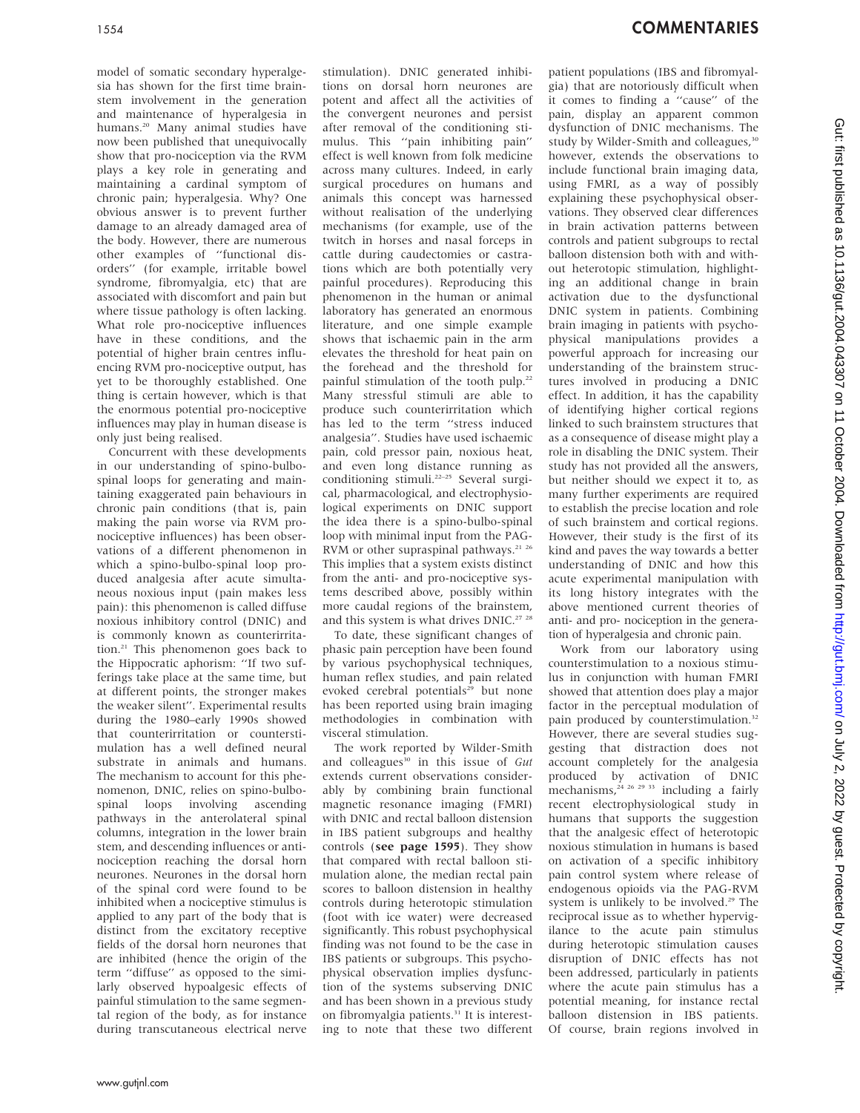1554 COMMENTARIES

model of somatic secondary hyperalgesia has shown for the first time brainstem involvement in the generation and maintenance of hyperalgesia in humans.<sup>20</sup> Many animal studies have now been published that unequivocally show that pro-nociception via the RVM plays a key role in generating and maintaining a cardinal symptom of chronic pain; hyperalgesia. Why? One obvious answer is to prevent further damage to an already damaged area of the body. However, there are numerous other examples of ''functional disorders'' (for example, irritable bowel syndrome, fibromyalgia, etc) that are associated with discomfort and pain but where tissue pathology is often lacking. What role pro-nociceptive influences have in these conditions, and the potential of higher brain centres influencing RVM pro-nociceptive output, has yet to be thoroughly established. One thing is certain however, which is that the enormous potential pro-nociceptive influences may play in human disease is only just being realised.

Concurrent with these developments in our understanding of spino-bulbospinal loops for generating and maintaining exaggerated pain behaviours in chronic pain conditions (that is, pain making the pain worse via RVM pronociceptive influences) has been observations of a different phenomenon in which a spino-bulbo-spinal loop produced analgesia after acute simultaneous noxious input (pain makes less pain): this phenomenon is called diffuse noxious inhibitory control (DNIC) and is commonly known as counterirritation.<sup>21</sup> This phenomenon goes back to the Hippocratic aphorism: ''If two sufferings take place at the same time, but at different points, the stronger makes the weaker silent''. Experimental results during the 1980–early 1990s showed that counterirritation or counterstimulation has a well defined neural substrate in animals and humans. The mechanism to account for this phenomenon, DNIC, relies on spino-bulbospinal loops involving ascending pathways in the anterolateral spinal columns, integration in the lower brain stem, and descending influences or antinociception reaching the dorsal horn neurones. Neurones in the dorsal horn of the spinal cord were found to be inhibited when a nociceptive stimulus is applied to any part of the body that is distinct from the excitatory receptive fields of the dorsal horn neurones that are inhibited (hence the origin of the term ''diffuse'' as opposed to the similarly observed hypoalgesic effects of painful stimulation to the same segmental region of the body, as for instance during transcutaneous electrical nerve

stimulation). DNIC generated inhibitions on dorsal horn neurones are potent and affect all the activities of the convergent neurones and persist after removal of the conditioning stimulus. This ''pain inhibiting pain'' effect is well known from folk medicine across many cultures. Indeed, in early surgical procedures on humans and animals this concept was harnessed without realisation of the underlying mechanisms (for example, use of the twitch in horses and nasal forceps in cattle during caudectomies or castrations which are both potentially very painful procedures). Reproducing this phenomenon in the human or animal laboratory has generated an enormous literature, and one simple example shows that ischaemic pain in the arm elevates the threshold for heat pain on the forehead and the threshold for painful stimulation of the tooth pulp.<sup>22</sup> Many stressful stimuli are able to produce such counterirritation which has led to the term ''stress induced analgesia''. Studies have used ischaemic pain, cold pressor pain, noxious heat, and even long distance running as conditioning stimuli.<sup>22–25</sup> Several surgical, pharmacological, and electrophysiological experiments on DNIC support the idea there is a spino-bulbo-spinal loop with minimal input from the PAG-RVM or other supraspinal pathways.<sup>21-26</sup> This implies that a system exists distinct from the anti- and pro-nociceptive systems described above, possibly within more caudal regions of the brainstem, and this system is what drives DNIC.<sup>27</sup> <sup>28</sup>

To date, these significant changes of phasic pain perception have been found by various psychophysical techniques, human reflex studies, and pain related evoked cerebral potentials<sup>29</sup> but none has been reported using brain imaging methodologies in combination with visceral stimulation.

The work reported by Wilder-Smith and colleagues<sup>30</sup> in this issue of  $Gut$ extends current observations considerably by combining brain functional magnetic resonance imaging (FMRI) with DNIC and rectal balloon distension in IBS patient subgroups and healthy controls (see page 1595). They show that compared with rectal balloon stimulation alone, the median rectal pain scores to balloon distension in healthy controls during heterotopic stimulation (foot with ice water) were decreased significantly. This robust psychophysical finding was not found to be the case in IBS patients or subgroups. This psychophysical observation implies dysfunction of the systems subserving DNIC and has been shown in a previous study on fibromyalgia patients.<sup>31</sup> It is interesting to note that these two different

patient populations (IBS and fibromyalgia) that are notoriously difficult when it comes to finding a ''cause'' of the pain, display an apparent common dysfunction of DNIC mechanisms. The study by Wilder-Smith and colleagues,<sup>30</sup> however, extends the observations to include functional brain imaging data, using FMRI, as a way of possibly explaining these psychophysical observations. They observed clear differences in brain activation patterns between controls and patient subgroups to rectal balloon distension both with and without heterotopic stimulation, highlighting an additional change in brain activation due to the dysfunctional DNIC system in patients. Combining brain imaging in patients with psychophysical manipulations provides a powerful approach for increasing our understanding of the brainstem structures involved in producing a DNIC effect. In addition, it has the capability of identifying higher cortical regions linked to such brainstem structures that as a consequence of disease might play a role in disabling the DNIC system. Their study has not provided all the answers, but neither should we expect it to, as many further experiments are required to establish the precise location and role of such brainstem and cortical regions. However, their study is the first of its kind and paves the way towards a better understanding of DNIC and how this acute experimental manipulation with its long history integrates with the above mentioned current theories of anti- and pro- nociception in the generation of hyperalgesia and chronic pain.

Work from our laboratory using counterstimulation to a noxious stimulus in conjunction with human FMRI showed that attention does play a major factor in the perceptual modulation of pain produced by counterstimulation.<sup>32</sup> However, there are several studies suggesting that distraction does not account completely for the analgesia produced by activation of DNIC mechanisms,  $24 \times 26 \times 29 \times 33$  including a fairly recent electrophysiological study in humans that supports the suggestion that the analgesic effect of heterotopic noxious stimulation in humans is based on activation of a specific inhibitory pain control system where release of endogenous opioids via the PAG-RVM system is unlikely to be involved.<sup>29</sup> The reciprocal issue as to whether hypervigilance to the acute pain stimulus during heterotopic stimulation causes disruption of DNIC effects has not been addressed, particularly in patients where the acute pain stimulus has a potential meaning, for instance rectal balloon distension in IBS patients. Of course, brain regions involved in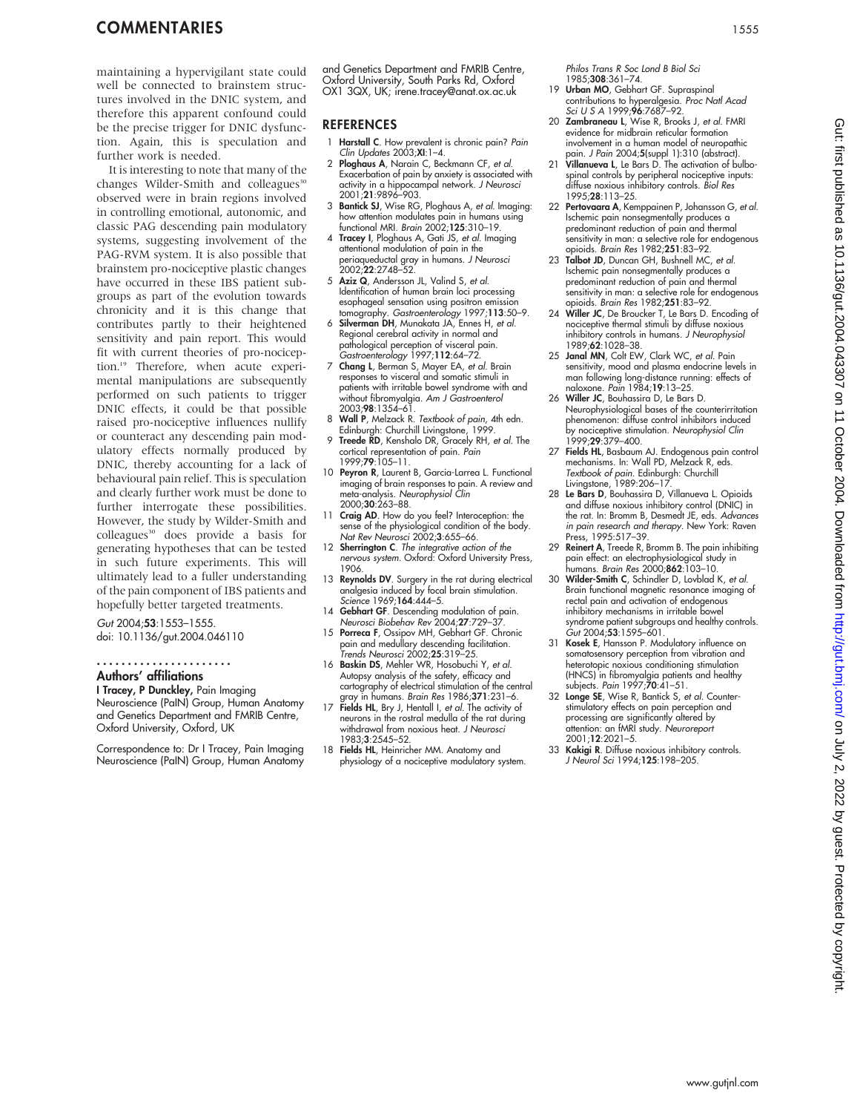maintaining a hypervigilant state could well be connected to brainstem structures involved in the DNIC system, and therefore this apparent confound could be the precise trigger for DNIC dysfunction. Again, this is speculation and further work is needed.

It is interesting to note that many of the changes Wilder-Smith and colleagues<sup>30</sup> observed were in brain regions involved in controlling emotional, autonomic, and classic PAG descending pain modulatory systems, suggesting involvement of the PAG-RVM system. It is also possible that brainstem pro-nociceptive plastic changes have occurred in these IBS patient subgroups as part of the evolution towards chronicity and it is this change that contributes partly to their heightened sensitivity and pain report. This would fit with current theories of pro-nociception.19 Therefore, when acute experimental manipulations are subsequently performed on such patients to trigger DNIC effects, it could be that possible raised pro-nociceptive influences nullify or counteract any descending pain modulatory effects normally produced by DNIC, thereby accounting for a lack of behavioural pain relief. This is speculation and clearly further work must be done to further interrogate these possibilities. However, the study by Wilder-Smith and colleagues<sup>30</sup> does provide a basis for generating hypotheses that can be tested in such future experiments. This will ultimately lead to a fuller understanding of the pain component of IBS patients and hopefully better targeted treatments.

## Gut 2004;53:1553–1555.

doi: 10.1136/gut.2004.046110

### ......................

## Authors' affiliations

I Tracey, P Dunckley, Pain Imaging Neuroscience (PaIN) Group, Human Anatomy and Genetics Department and FMRIB Centre, Oxford University, Oxford, UK

Correspondence to: Dr I Tracey, Pain Imaging Neuroscience (PaIN) Group, Human Anatomy and Genetics Department and FMRIB Centre, Oxford University, South Parks Rd, Oxford OX1 3QX, UK; irene.tracey@anat.ox.ac.uk

### REFERENCES

- 1 **Harstall C**. How prevalent is chronic pain? *Pain*<br>Clin Updates 2003;**XI**:1–4.
- 2 Ploghaus A, Narain C, Beckmann CF, et al. Exacerbation of pain by anxiety is associated with activity in a hippocampal network. J Neurosci 2001;21:9896–903.
- 3 Bantick SJ, Wise RG, Ploghaus A, et al. Imaging: how attention modulates pain in humans using functional MRI. Brain 2002;125:310–19.
- 4 Tracey I, Ploghaus A, Gati JS, et al. Imaging attentional modulation of pain in the periaqueductal gray in humans. J Neurosci 2002;22:2748–52.
- 5 Aziz Q, Andersson JL, Valind S, et al. Identification of human brain loci processing esophageal sensation using positron emission tomography. Gastroenterology 1997;113:50–9.
- 6 Silverman DH, Munakata JA, Ennes H, et al. Regional cerebral activity in normal and pathological perception of visceral pain. Gastroenterology 1997;112:64–72.
- 7 Chang L, Berman S, Mayer EA, et al. Brain responses to visceral and somatic stimuli in<br>patients with irritable bowel syndrome with and<br>without fibromyalgia. A*m J Gastroenterol*<br>2003;**98**:1354–61.
- 8 Wall P, Melzack R. Textbook of pain, 4th edn. Edinburgh: Churchill Livingstone, 1999.
- 9 Treede RD, Kenshalo DR, Gracely RH, et al. The cortical representation of pain. Pain 1999;79:105–11.
- 10 Peyron R, Laurent B, Garcia-Larrea L. Functional imaging of brain responses to pain. A review and<br>meta-analysis. *Neurophysiol Clin* 2000:**30**:263–88.
- 11 Craig AD. How do you feel? Interoception: the sense of the physiological condition of the body. Nat Rev Neurosci 2002;3:655–66.
- 12 Sherrington C. The integrative action of the nervous system. Oxford: Oxford University Press, 1906.
- 13 Reynolds DV. Surgery in the rat during electrical analgesia induced by focal brain stimulation. Science 1969; **164**: 444–5.
- 14 Gebhart GF. Descending modulation of pain. Neurosci Biobehav Rev 2004;27:729–37.
- 15 Porreca F, Ossipov MH, Gebhart GF. Chronic pain and medullary descending facilitation. Trends Neurosci 2002;25:319–25.
- 16 Baskin DS, Mehler WR, Hosobuchi Y, et al. Autopsy analysis of the safety, efficacy and cartography of electrical stimulation of the central gray in humans. Brain Res 1986;371:231–6.
- 17 Fields HL, Bry J, Hentall I, et al. The activity of neurons in the rostral medulla of the rat during withdrawal from noxious heat. J Neurosci 1983;3:2545–52.
- 18 Fields HL, Heinricher MM. Anatomy and physiology of a nociceptive modulatory system.

Philos Trans R Soc Lond B Biol Sci 1985;308:361–74.

- 19 Urban MO, Gebhart GF. Supraspinal contributions to hyperalgesia. Proc Natl Acad
- Sci U S A 1999;96:7687-92. 20 Zambraneau L, Wise R, Brooks J, et al. FMRI evidence for midbrain reticular formation involvement in a human model of neuropathic
- pain. *J Pain* 2004;**5**(suppl 1):310 (abstract).<br>21 **Villanueva L**, Le Bars D. The activation of bulbospinal controls by peripheral nociceptive inputs: diffuse noxious inhibitory controls. Biol Res 1995;28:113–25.
- 22 Pertovaara A, Kemppainen P, Johansson G, et al. Ischemic pain nonsegmentally produces a predominant reduction of pain and thermal sensitivity in man: a selective role for endogenous<br>opioids. *Brain Res* 1982;**251**:83–92.
- 23 Talbot JD, Duncan GH, Bushnell MC, et al. Ischemic pain nonsegmentally produces a predominant reduction of pain and thermal sensitivity in man: a selective role for endogenous opioids. Brain Res 1982;251:83–92.
- 24 Willer JC, De Broucker T, Le Bars D. Encoding of nociceptive thermal stimuli by diffuse noxious inhibitory controls in humans. *J Neurophysiol*<br>1989;**62**:1028–38.
- 25 Janal MN, Colt EW, Clark WC, et al. Pain sensitivity, mood and plasma endocrine levels in man following long-distance running: effects of<br>1984;**19**:13–25.<br>26 **Willer JC**, Bouhassira D, Le Bars D.
- Neurophysiological bases of the counterirritation phenomenon: diffuse control inhibitors induced by nociceptive stimulation. Neurophysiol Clin 1999;**29**:379–400.
- 27 Fields HL, Basbaum AJ. Endogenous pain control mechanisms. In: Wall PD, Melzack R, eds. Tex*tbook of pain*. Edinburgh: Churchill<br>Livingstone, 1989:206–17.<br>28 **Le Bars D**, Bouhassira D, Villanueva L. Opioids
- and diffuse noxious inhibitory control (DNIC) in the rat. In: Bromm B, Desmedt JE, eds. Advances in pain research and therapy. New York: Raven Press, 1995:517–39.
- 29 Reinert A, Treede R, Bromm B. The pain inhibiting pain effect: an electrophysiological study in<br>humans. *Brain Res* 2000;**862**:103–10.
- 30 Wilder-Smith C, Schindler D, Lovblad K, et al. Brain functional magnetic resonance imaging of rectal pain and activation of endogenous inhibitory mechanisms in irritable bowel syndrome patient subgroups and healthy controls. Gut 2004;53:1595–601.
- 31 Kosek E, Hansson P. Modulatory influence on somatosensory perception from vibration and heterotopic noxious conditioning stimulation (HNCS) in fibromyalgia patients and healthy subjects. Pain 1997;70:41–51.
- 32 Longe SE, Wise R, Bantick S, et al. Counterstimulatory effects on pain perception and processing are significantly altered by attention: an fMRI study. Neuroreport 2001;12:2021–5.
- 33 Kakigi R. Diffuse noxious inhibitory controls. J Neurol Sci 1994;125:198–205.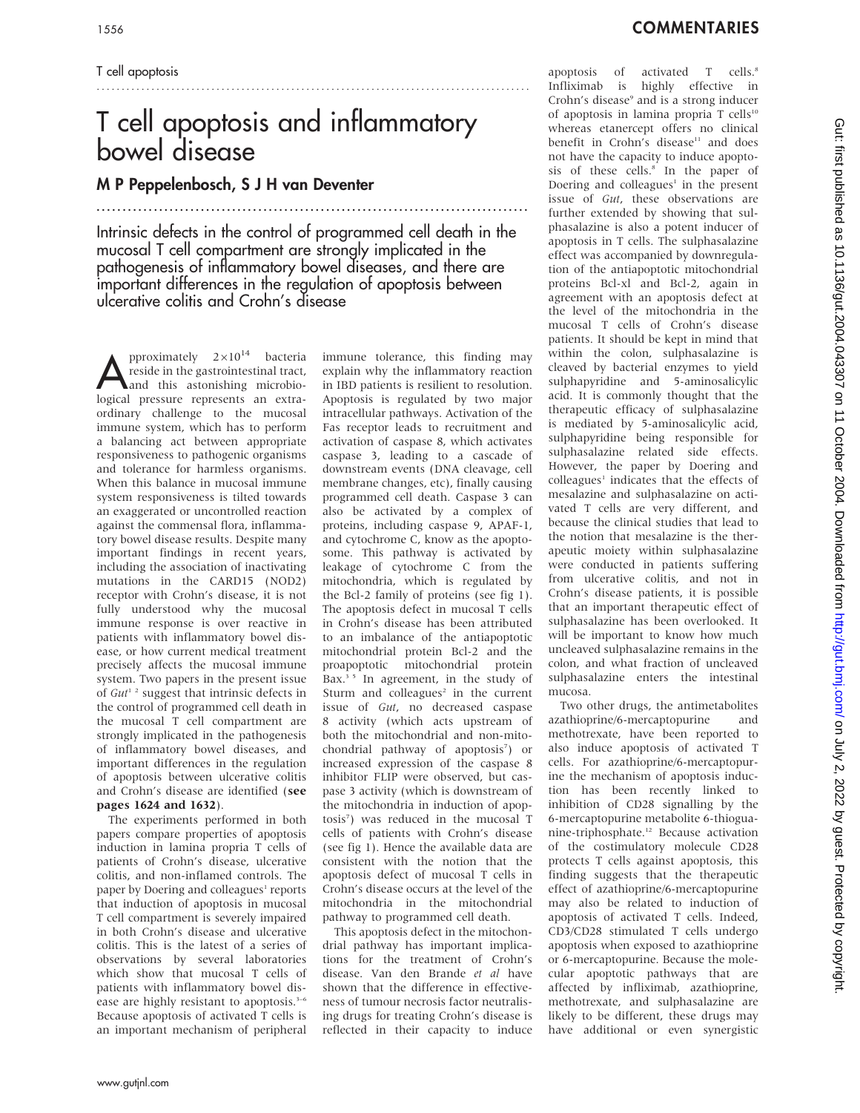### T cell apoptosis

# T cell apoptosis and inflammatory bowel disease

.......................................................................................

## M P Peppelenbosch, S J H van Deventer

...................................................................................

Intrinsic defects in the control of programmed cell death in the mucosal T cell compartment are strongly implicated in the pathogenesis of inflammatory bowel diseases, and there are important differences in the regulation of apoptosis between ulcerative colitis and Crohn's disease

pproximately  $2\times10^{14}$  bacteria reside in the gastrointestinal tract, and this astonishing microbiological pressure represents an extraordinary challenge to the mucosal immune system, which has to perform a balancing act between appropriate responsiveness to pathogenic organisms and tolerance for harmless organisms. When this balance in mucosal immune system responsiveness is tilted towards an exaggerated or uncontrolled reaction against the commensal flora, inflammatory bowel disease results. Despite many important findings in recent years, including the association of inactivating mutations in the CARD15 (NOD2) receptor with Crohn's disease, it is not fully understood why the mucosal immune response is over reactive in patients with inflammatory bowel disease, or how current medical treatment precisely affects the mucosal immune system. Two papers in the present issue of  $Gut^{1/2}$  suggest that intrinsic defects in the control of programmed cell death in the mucosal T cell compartment are strongly implicated in the pathogenesis of inflammatory bowel diseases, and important differences in the regulation of apoptosis between ulcerative colitis and Crohn's disease are identified (see pages 1624 and 1632).

The experiments performed in both papers compare properties of apoptosis induction in lamina propria T cells of patients of Crohn's disease, ulcerative colitis, and non-inflamed controls. The paper by Doering and colleagues<sup>1</sup> reports that induction of apoptosis in mucosal T cell compartment is severely impaired in both Crohn's disease and ulcerative colitis. This is the latest of a series of observations by several laboratories which show that mucosal T cells of patients with inflammatory bowel disease are highly resistant to apoptosis.<sup>3-6</sup> Because apoptosis of activated T cells is an important mechanism of peripheral immune tolerance, this finding may explain why the inflammatory reaction in IBD patients is resilient to resolution. Apoptosis is regulated by two major intracellular pathways. Activation of the Fas receptor leads to recruitment and activation of caspase 8, which activates caspase 3, leading to a cascade of downstream events (DNA cleavage, cell membrane changes, etc), finally causing programmed cell death. Caspase 3 can also be activated by a complex of proteins, including caspase 9, APAF-1, and cytochrome C, know as the apoptosome. This pathway is activated by leakage of cytochrome C from the mitochondria, which is regulated by the Bcl-2 family of proteins (see fig 1). The apoptosis defect in mucosal T cells in Crohn's disease has been attributed to an imbalance of the antiapoptotic mitochondrial protein Bcl-2 and the proapoptotic mitochondrial protein Bax. $35$  In agreement, in the study of Sturm and colleagues<sup>2</sup> in the current issue of Gut, no decreased caspase 8 activity (which acts upstream of both the mitochondrial and non-mitochondrial pathway of apoptosis<sup>7</sup>) or increased expression of the caspase 8 inhibitor FLIP were observed, but caspase 3 activity (which is downstream of the mitochondria in induction of apoptosis7 ) was reduced in the mucosal T cells of patients with Crohn's disease (see fig 1). Hence the available data are consistent with the notion that the apoptosis defect of mucosal T cells in Crohn's disease occurs at the level of the mitochondria in the mitochondrial pathway to programmed cell death.

This apoptosis defect in the mitochondrial pathway has important implications for the treatment of Crohn's disease. Van den Brande et al have shown that the difference in effectiveness of tumour necrosis factor neutralising drugs for treating Crohn's disease is reflected in their capacity to induce

apoptosis of activated T cells.<sup>8</sup> Infliximab is highly effective in Crohn's disease<sup>9</sup> and is a strong inducer of apoptosis in lamina propria T cells<sup>10</sup> whereas etanercept offers no clinical benefit in Crohn's disease<sup>11</sup> and does not have the capacity to induce apoptosis of these cells.<sup>8</sup> In the paper of Doering and colleagues<sup>1</sup> in the present issue of Gut, these observations are further extended by showing that sulphasalazine is also a potent inducer of apoptosis in T cells. The sulphasalazine effect was accompanied by downregulation of the antiapoptotic mitochondrial proteins Bcl-xl and Bcl-2, again in agreement with an apoptosis defect at the level of the mitochondria in the mucosal T cells of Crohn's disease patients. It should be kept in mind that within the colon, sulphasalazine is cleaved by bacterial enzymes to yield sulphapyridine and 5-aminosalicylic acid. It is commonly thought that the therapeutic efficacy of sulphasalazine is mediated by 5-aminosalicylic acid, sulphapyridine being responsible for sulphasalazine related side effects. However, the paper by Doering and colleagues<sup>1</sup> indicates that the effects of mesalazine and sulphasalazine on activated T cells are very different, and because the clinical studies that lead to the notion that mesalazine is the therapeutic moiety within sulphasalazine were conducted in patients suffering from ulcerative colitis, and not in Crohn's disease patients, it is possible that an important therapeutic effect of sulphasalazine has been overlooked. It will be important to know how much uncleaved sulphasalazine remains in the colon, and what fraction of uncleaved sulphasalazine enters the intestinal mucosa.

Two other drugs, the antimetabolites azathioprine/6-mercaptopurine and methotrexate, have been reported to also induce apoptosis of activated T cells. For azathioprine/6-mercaptopurine the mechanism of apoptosis induction has been recently linked to inhibition of CD28 signalling by the 6-mercaptopurine metabolite 6-thioguanine-triphosphate.12 Because activation of the costimulatory molecule CD28 protects T cells against apoptosis, this finding suggests that the therapeutic effect of azathioprine/6-mercaptopurine may also be related to induction of apoptosis of activated T cells. Indeed, CD3/CD28 stimulated T cells undergo apoptosis when exposed to azathioprine or 6-mercaptopurine. Because the molecular apoptotic pathways that are affected by infliximab, azathioprine, methotrexate, and sulphasalazine are likely to be different, these drugs may have additional or even synergistic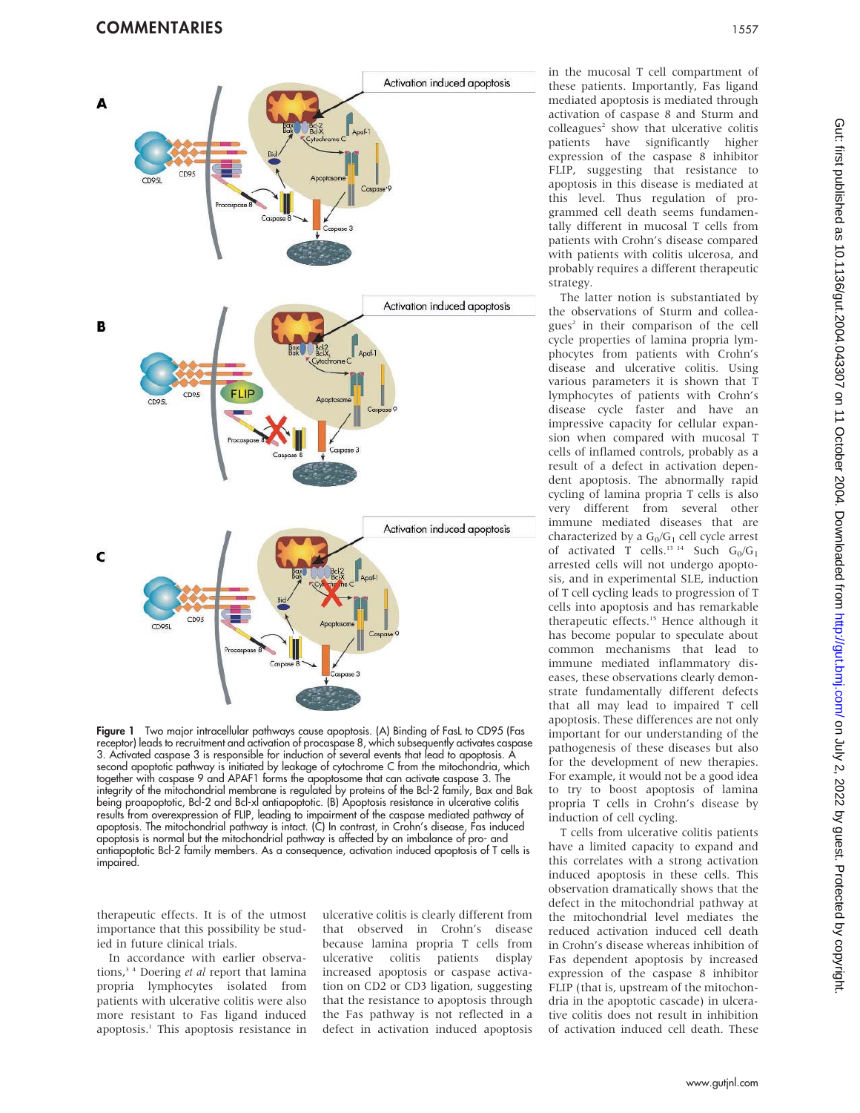

Figure 1 Two major intracellular pathways cause apoptosis. (A) Binding of FasL to CD95 (Fas receptor) leads to recruitment and activation of procaspase 8, which subsequently activates caspase 3. Activated caspase 3 is responsible for induction of several events that lead to apoptosis. A second apoptotic pathway is initiated by leakage of cytochrome C from the mitochondria, which together with caspase 9 and APAF1 forms the apoptosome that can activate caspase 3. The integrity of the mitochondrial membrane is regulated by proteins of the Bcl-2 family, Bax and Bak being proapoptotic, Bcl-2 and Bcl-xl antiapoptotic. (B) Apoptosis resistance in ulcerative colitis results from overexpression of FLIP, leading to impairment of the caspase mediated pathway of apoptosis. The mitochondrial pathway is intact. (C) In contrast, in Crohn's disease, Fas induced apoptosis is normal but the mitochondrial pathway is affected by an imbalance of pro- and antiapoptotic Bcl-2 family members. As a consequence, activation induced apoptosis of T cells is impaired.

therapeutic effects. It is of the utmost importance that this possibility be studied in future clinical trials.

In accordance with earlier observations,<sup>34</sup> Doering et al report that lamina propria lymphocytes isolated from patients with ulcerative colitis were also more resistant to Fas ligand induced apoptosis.1 This apoptosis resistance in ulcerative colitis is clearly different from that observed in Crohn's disease because lamina propria T cells from<br>ulcerative colitis patients display ulcerative colitis patients display increased apoptosis or caspase activation on CD2 or CD3 ligation, suggesting that the resistance to apoptosis through the Fas pathway is not reflected in a defect in activation induced apoptosis

in the mucosal T cell compartment of these patients. Importantly, Fas ligand mediated apoptosis is mediated through activation of caspase 8 and Sturm and  $coll$ eagues<sup>2</sup> show that ulcerative colitis patients have significantly higher expression of the caspase 8 inhibitor FLIP, suggesting that resistance to apoptosis in this disease is mediated at this level. Thus regulation of programmed cell death seems fundamentally different in mucosal T cells from patients with Crohn's disease compared with patients with colitis ulcerosa, and probably requires a different therapeutic strategy.

The latter notion is substantiated by the observations of Sturm and colleagues<sup>2</sup> in their comparison of the cell cycle properties of lamina propria lymphocytes from patients with Crohn's disease and ulcerative colitis. Using various parameters it is shown that T lymphocytes of patients with Crohn's disease cycle faster and have an impressive capacity for cellular expansion when compared with mucosal T cells of inflamed controls, probably as a result of a defect in activation dependent apoptosis. The abnormally rapid cycling of lamina propria T cells is also very different from several other immune mediated diseases that are characterized by a  $G_0/G_1$  cell cycle arrest of activated T cells.<sup>13 14</sup> Such  $G_0/G_1$ arrested cells will not undergo apoptosis, and in experimental SLE, induction of T cell cycling leads to progression of T cells into apoptosis and has remarkable therapeutic effects.<sup>15</sup> Hence although it has become popular to speculate about common mechanisms that lead to immune mediated inflammatory diseases, these observations clearly demonstrate fundamentally different defects that all may lead to impaired T cell apoptosis. These differences are not only important for our understanding of the pathogenesis of these diseases but also for the development of new therapies. For example, it would not be a good idea to try to boost apoptosis of lamina propria T cells in Crohn's disease by induction of cell cycling.

T cells from ulcerative colitis patients have a limited capacity to expand and this correlates with a strong activation induced apoptosis in these cells. This observation dramatically shows that the defect in the mitochondrial pathway at the mitochondrial level mediates the reduced activation induced cell death in Crohn's disease whereas inhibition of Fas dependent apoptosis by increased expression of the caspase 8 inhibitor FLIP (that is, upstream of the mitochondria in the apoptotic cascade) in ulcerative colitis does not result in inhibition of activation induced cell death. These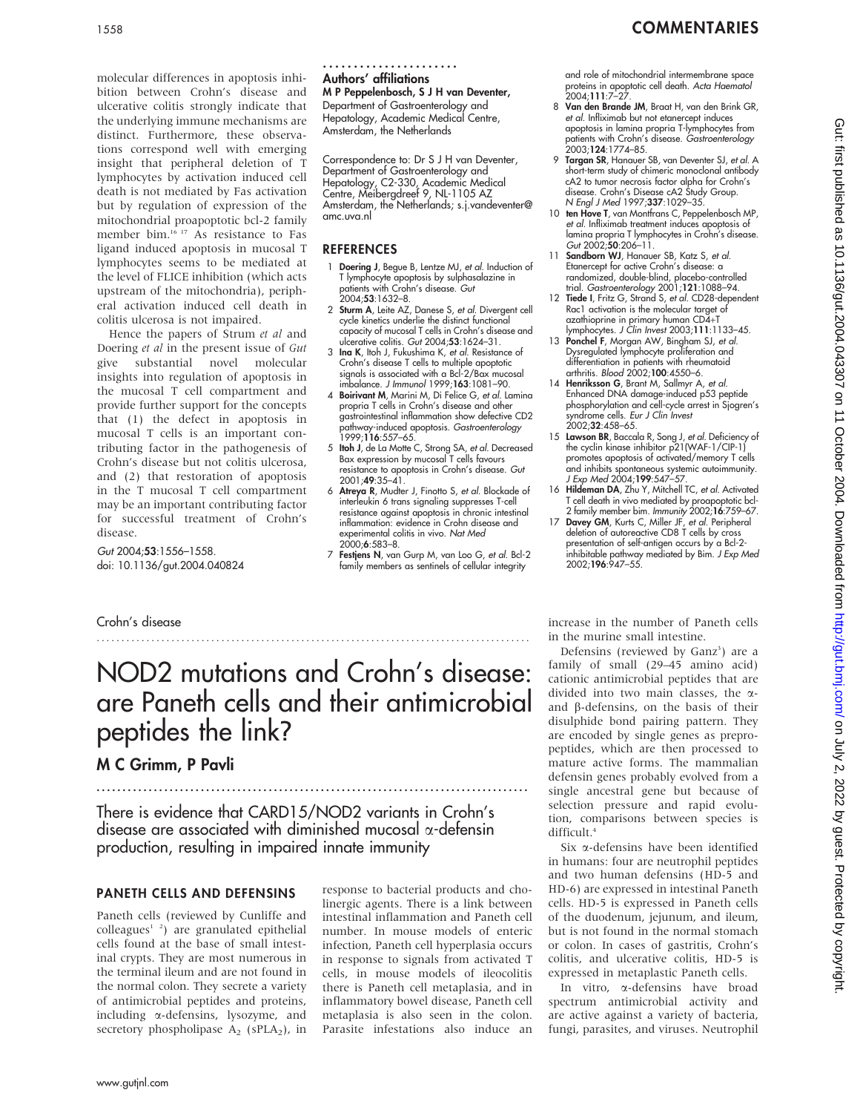## 1558 COMMENTARIES

molecular differences in apoptosis inhibition between Crohn's disease and ulcerative colitis strongly indicate that the underlying immune mechanisms are distinct. Furthermore, these observations correspond well with emerging insight that peripheral deletion of T lymphocytes by activation induced cell death is not mediated by Fas activation but by regulation of expression of the mitochondrial proapoptotic bcl-2 family member bim.16 17 As resistance to Fas ligand induced apoptosis in mucosal T lymphocytes seems to be mediated at the level of FLICE inhibition (which acts upstream of the mitochondria), peripheral activation induced cell death in colitis ulcerosa is not impaired.

Hence the papers of Strum et al and Doering et al in the present issue of Gut give substantial novel molecular insights into regulation of apoptosis in the mucosal T cell compartment and provide further support for the concepts that (1) the defect in apoptosis in mucosal T cells is an important contributing factor in the pathogenesis of Crohn's disease but not colitis ulcerosa, and (2) that restoration of apoptosis in the T mucosal T cell compartment may be an important contributing factor for successful treatment of Crohn's disease.

Gut 2004;53:1556–1558. doi: 10.1136/gut.2004.040824 Authors' affiliations ......................

M P Peppelenbosch, S J H van Deventer, Department of Gastroenterology and Hepatology, Academic Medical Centre, Amsterdam, the Netherlands

Correspondence to: Dr S J H van Deventer, Department of Gastroenterology and Hepatology, C2-330, Academic Medical Centre, Meibergdreef 9, NL-1105 AZ Amsterdam, the Netherlands; s.j.vandeventer@ amc.uva.nl

#### **REFERENCES**

- 1 Doering J, Begue B, Lentze MJ, et al. Induction of T lymphocyte apoptosis by sulphasalazine in patients with Crohn's disease. Gut  $2004.53.1632 - 8$
- 2 Sturm A, Leite AZ, Danese S, et al. Divergent cell cycle kinetics underlie the distinct functional capacity of mucosal T cells in Crohn's disease and ulcerative colitis. Gut 2004;53:1624–31.
- 3 Ina K, Itoh J, Fukushima K, et al. Resistance of Crohn's disease T cells to multiple apoptotic signals is associated with a Bcl-2/Bax mucosal imbalance. J Immunol 1999;163:1081–90.
- 4 Boirivant M, Marini M, Di Felice G, et al. Lamina propria T cells in Crohn's disease and other gastrointestinal inflammation show defective CD2 pathway-induced apoptosis. Gastroenterology 1999;116:557–65.
- 5 Itoh J, de La Motte C, Strong SA, et al. Decreased Bax expression by mucosal T cells favours resistance to apoptosis in Crohn's disease. Gut 2001;49:35–41.
- 6 Atreya R, Mudter J, Finotto S, et al. Blockade of interleukin 6 trans signaling suppresses T-cell resistance against apoptosis in chronic intestinal inflammation: evidence in Crohn disease and experimental colitis in vivo. Nat Med 2000;6:583–8.
- 7 Festjens N, van Gurp M, van Loo G, et al. Bcl-2 family members as sentinels of cellular integrity

and role of mitochondrial intermembrane space proteins in apoptotic cell death. Acta Haematol 2004;111:7–27.

- 8 Van den Brande JM, Braat H, van den Brink GR, et al. Infliximab but not etanercept induces apoptosis in lamina propria T-lymphocytes from patients with Crohn's disease. Gastroenterology 2003;124:1774–85.
- 9 Targan SR, Hanauer SB, van Deventer SJ, et al. A short-term study of chimeric monoclonal antibody cA2 to tumor necrosis factor alpha for Crohn's disease. Crohn's Disease cA2 Study Group. N Engl J Med 1997;337:1029–35.
- 10 ten Hove T, van Montfrans C, Peppelenbosch MP, et al. Infliximab treatment induces apoptosis of lamina propria T lymphocytes in Crohn's disease. Gut 2002;50:206-11.
- 11 Sandborn WJ, Hanauer SB, Katz S, et al. Etanercept for active Crohn's disease: a randomized, double-blind, placebo-controlled trial. Gastroenterology 2001;121:1088–94.
- 12 Tiede I, Fritz G, Strand S, et al. CD28-dependent Rac1 activation is the molecular target of azathioprine in primary human CD4+T lymphocytes. J Clin Invest 2003;111:1133–45.
- 13 Ponchel F, Morgan AW, Bingham SJ, et al. Dysregulated lymphocyte proliferation and differentiation in patients with rheumatoid arthritis. Blood 2002;100:4550–6.
- 14 Henriksson G, Brant M, Sallmyr A, et al. Enhanced DNA damage-induced p53 peptide phosphorylation and cell-cycle arrest in Sjogren's syndrome cells. Eur J Clin Invest 2002;32:458–65.
- 15 Lawson BR, Baccala R, Song J, et al. Deficiency of the cyclin kinase inhibitor p21(WAF-1/CIP-1) promotes apoptosis of activated/memory T cells and inhibits spontaneous systemic autoimmunity.<br>*J Exp Med* 2004;**199**:547–57.
- 16 Hildeman DA, Zhu Y, Mitchell TC, et al. Activated T cell death in vivo mediated by proapoptotic bcl-<br>2 family member bim. *Immunity* 2002;**16**:759–67.<br>17 **Davey GM**, Kurts C, Miller JF, *et al*. Peripheral
- deletion of autoreactive CD8 T cells by cross presentation of self-antigen occurs by a Bcl-2-<br>inhibitable pathway mediated by Bim. *J Exp Med*<br>2002;**196**:947–55.

Crohn's disease

## NOD2 mutations and Crohn's disease: are Paneth cells and their antimicrobial peptides the link?

.......................................................................................

## M C Grimm, P Pavli

There is evidence that CARD15/NOD2 variants in Crohn's disease are associated with diminished mucosal  $\alpha$ -defensin production, resulting in impaired innate immunity

#### PANETH CELLS AND DEFENSINS

Paneth cells (reviewed by Cunliffe and  $\text{colleagues}^{1-2}$ ) are granulated epithelial cells found at the base of small intestinal crypts. They are most numerous in the terminal ileum and are not found in the normal colon. They secrete a variety of antimicrobial peptides and proteins, including a-defensins, lysozyme, and secretory phospholipase  $A_2$  (sPLA<sub>2</sub>), in response to bacterial products and cholinergic agents. There is a link between intestinal inflammation and Paneth cell number. In mouse models of enteric infection, Paneth cell hyperplasia occurs in response to signals from activated T cells, in mouse models of ileocolitis there is Paneth cell metaplasia, and in inflammatory bowel disease, Paneth cell metaplasia is also seen in the colon. Parasite infestations also induce an increase in the number of Paneth cells in the murine small intestine.

Defensins (reviewed by Ganz<sup>3</sup>) are a family of small (29–45 amino acid) cationic antimicrobial peptides that are divided into two main classes, the aand  $\beta$ -defensins, on the basis of their disulphide bond pairing pattern. They are encoded by single genes as prepropeptides, which are then processed to mature active forms. The mammalian defensin genes probably evolved from a single ancestral gene but because of selection pressure and rapid evolution, comparisons between species is difficult.4

Six a-defensins have been identified in humans: four are neutrophil peptides and two human defensins (HD-5 and HD-6) are expressed in intestinal Paneth cells. HD-5 is expressed in Paneth cells of the duodenum, jejunum, and ileum, but is not found in the normal stomach or colon. In cases of gastritis, Crohn's colitis, and ulcerative colitis, HD-5 is expressed in metaplastic Paneth cells.

In vitro, a-defensins have broad spectrum antimicrobial activity and are active against a variety of bacteria, fungi, parasites, and viruses. Neutrophil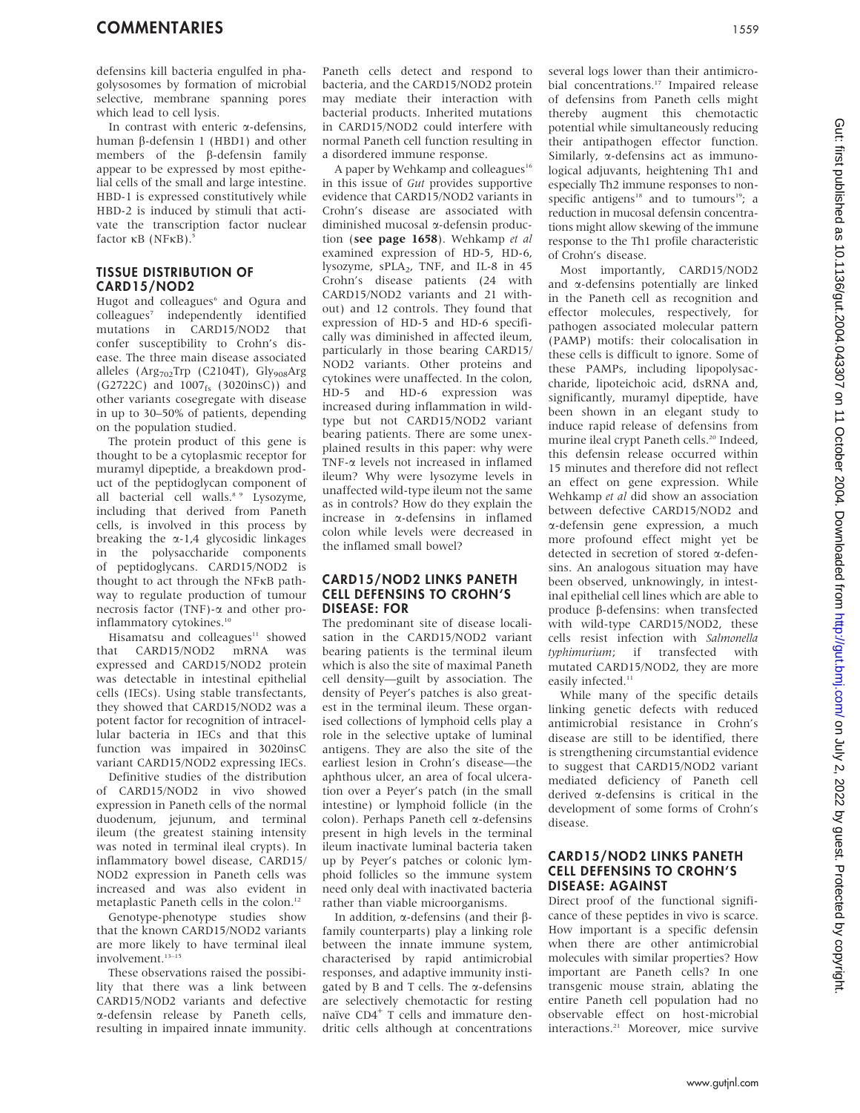defensins kill bacteria engulfed in phagolysosomes by formation of microbial selective, membrane spanning pores which lead to cell lysis.

In contrast with enteric  $\alpha$ -defensins, human  $\beta$ -defensin 1 (HBD1) and other members of the  $\beta$ -defensin family appear to be expressed by most epithelial cells of the small and large intestine. HBD-1 is expressed constitutively while HBD-2 is induced by stimuli that activate the transcription factor nuclear factor  $\kappa$ B (NF $\kappa$ B).<sup>5</sup>

#### TISSUE DISTRIBUTION OF CARD15/NOD2

Hugot and colleagues<sup>6</sup> and Ogura and colleagues<sup>7</sup> independently identified mutations in CARD15/NOD2 that confer susceptibility to Crohn's disease. The three main disease associated alleles (Arg<sub>702</sub>Trp (C2104T), Gly<sub>908</sub>Arg (G2722C) and 1007<sub>fs</sub> (3020insC)) and other variants cosegregate with disease in up to 30–50% of patients, depending on the population studied.

The protein product of this gene is thought to be a cytoplasmic receptor for muramyl dipeptide, a breakdown product of the peptidoglycan component of all bacterial cell walls.<sup>8 9</sup> Lysozyme, including that derived from Paneth cells, is involved in this process by breaking the  $\alpha$ -1,4 glycosidic linkages in the polysaccharide components of peptidoglycans. CARD15/NOD2 is thought to act through the NFkB pathway to regulate production of tumour necrosis factor (TNF)-a and other proinflammatory cytokines.<sup>10</sup>

Hisamatsu and colleagues<sup>11</sup> showed that CARD15/NOD2 mRNA was expressed and CARD15/NOD2 protein was detectable in intestinal epithelial cells (IECs). Using stable transfectants, they showed that CARD15/NOD2 was a potent factor for recognition of intracellular bacteria in IECs and that this function was impaired in 3020insC variant CARD15/NOD2 expressing IECs.

Definitive studies of the distribution of CARD15/NOD2 in vivo showed expression in Paneth cells of the normal duodenum, jejunum, and terminal ileum (the greatest staining intensity was noted in terminal ileal crypts). In inflammatory bowel disease, CARD15/ NOD2 expression in Paneth cells was increased and was also evident in metaplastic Paneth cells in the colon.<sup>12</sup>

Genotype-phenotype studies show that the known CARD15/NOD2 variants are more likely to have terminal ileal involvement.13–15

These observations raised the possibility that there was a link between CARD15/NOD2 variants and defective a-defensin release by Paneth cells, resulting in impaired innate immunity. Paneth cells detect and respond to bacteria, and the CARD15/NOD2 protein may mediate their interaction with bacterial products. Inherited mutations in CARD15/NOD2 could interfere with normal Paneth cell function resulting in a disordered immune response.

A paper by Wehkamp and colleagues<sup>16</sup> in this issue of Gut provides supportive evidence that CARD15/NOD2 variants in Crohn's disease are associated with diminished mucosal a-defensin production (see page 1658). Wehkamp et al examined expression of HD-5, HD-6, lysozyme,  $sPLA_2$ , TNF, and IL-8 in 45 Crohn's disease patients (24 with CARD15/NOD2 variants and 21 without) and 12 controls. They found that expression of HD-5 and HD-6 specifically was diminished in affected ileum, particularly in those bearing CARD15/ NOD2 variants. Other proteins and cytokines were unaffected. In the colon, HD-5 and HD-6 expression was increased during inflammation in wildtype but not CARD15/NOD2 variant bearing patients. There are some unexplained results in this paper: why were TNF-a levels not increased in inflamed ileum? Why were lysozyme levels in unaffected wild-type ileum not the same as in controls? How do they explain the increase in a-defensins in inflamed colon while levels were decreased in the inflamed small bowel?

#### CARD15/NOD2 LINKS PANETH CELL DEFENSINS TO CROHN'S DISEASE: FOR

The predominant site of disease localisation in the CARD15/NOD2 variant bearing patients is the terminal ileum which is also the site of maximal Paneth cell density—guilt by association. The density of Peyer's patches is also greatest in the terminal ileum. These organised collections of lymphoid cells play a role in the selective uptake of luminal antigens. They are also the site of the earliest lesion in Crohn's disease—the aphthous ulcer, an area of focal ulceration over a Peyer's patch (in the small intestine) or lymphoid follicle (in the colon). Perhaps Paneth cell a-defensins present in high levels in the terminal ileum inactivate luminal bacteria taken up by Peyer's patches or colonic lymphoid follicles so the immune system need only deal with inactivated bacteria rather than viable microorganisms.

In addition,  $\alpha$ -defensins (and their  $\beta$ family counterparts) play a linking role between the innate immune system, characterised by rapid antimicrobial responses, and adaptive immunity instigated by B and T cells. The  $\alpha$ -defensins are selectively chemotactic for resting naïve CD4<sup>+</sup> T cells and immature dendritic cells although at concentrations

several logs lower than their antimicrobial concentrations.17 Impaired release of defensins from Paneth cells might thereby augment this chemotactic potential while simultaneously reducing their antipathogen effector function. Similarly,  $\alpha$ -defensins act as immunological adjuvants, heightening Th1 and especially Th2 immune responses to nonspecific antigens<sup>18</sup> and to tumours<sup>19</sup>; a reduction in mucosal defensin concentrations might allow skewing of the immune response to the Th1 profile characteristic of Crohn's disease.

Most importantly, CARD15/NOD2 and a-defensins potentially are linked in the Paneth cell as recognition and effector molecules, respectively, for pathogen associated molecular pattern (PAMP) motifs: their colocalisation in these cells is difficult to ignore. Some of these PAMPs, including lipopolysaccharide, lipoteichoic acid, dsRNA and, significantly, muramyl dipeptide, have been shown in an elegant study to induce rapid release of defensins from murine ileal crypt Paneth cells.<sup>20</sup> Indeed, this defensin release occurred within 15 minutes and therefore did not reflect an effect on gene expression. While Wehkamp et al did show an association between defective CARD15/NOD2 and a-defensin gene expression, a much more profound effect might yet be detected in secretion of stored a-defensins. An analogous situation may have been observed, unknowingly, in intestinal epithelial cell lines which are able to produce  $\beta$ -defensins: when transfected with wild-type CARD15/NOD2, these cells resist infection with Salmonella typhimurium; if transfected with mutated CARD15/NOD2, they are more easily infected.<sup>11</sup>

While many of the specific details linking genetic defects with reduced antimicrobial resistance in Crohn's disease are still to be identified, there is strengthening circumstantial evidence to suggest that CARD15/NOD2 variant mediated deficiency of Paneth cell derived a-defensins is critical in the development of some forms of Crohn's disease.

#### CARD15/NOD2 LINKS PANETH CELL DEFENSINS TO CROHN'S DISEASE: AGAINST

Direct proof of the functional significance of these peptides in vivo is scarce. How important is a specific defensin when there are other antimicrobial molecules with similar properties? How important are Paneth cells? In one transgenic mouse strain, ablating the entire Paneth cell population had no observable effect on host-microbial interactions.<sup>21</sup> Moreover, mice survive